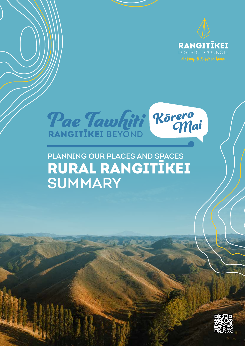



### Planning our places and spaces RURAL RANGITĪKEI SUMMARY

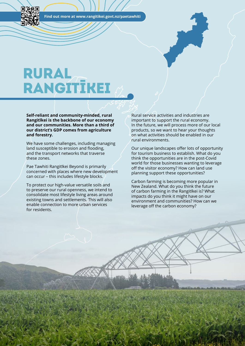**Find out more at www.rangitikei.govt.nz/paetawhiti**

## RURAL RANGITīKEI

**Self-reliant and community-minded, rural Rangitīkei is the backbone of our economy and our communities. More than a third of our district's GDP comes from agriculture and forestry.**

We have some challenges, including managing land susceptible to erosion and flooding, and the transport networks that traverse these zones.

Pae Tawhiti Rangitīkei Beyond is primarily concerned with places where new development can occur – this includes lifestyle blocks.

To protect our high-value versatile soils and to preserve our rural openness, we intend to consolidate most lifestyle living areas around existing towns and settlements. This will also enable connection to more urban services for residents.

Rural service activities and industries are important to support the rural economy. In the future, we will process more of our local products, so we want to hear your thoughts on what activities should be enabled in our rural environments.

Our unique landscapes offer lots of opportunity for tourism business to establish. What do you think the opportunities are in the post-Covid world for those businesses wanting to leverage off the visitor economy? How can land use planning support these opportunities?

Carbon farming is becoming more popular in New Zealand. What do you think the future of carbon farming in the Rangitīkei is? What impacts do you think it might have on our environment and communities? How can we leverage off the carbon economy?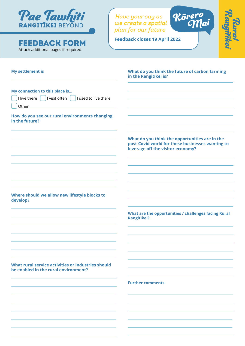

#### **FEEDBACK FORM** Feedback closes 19 April 2022 Attach additional pages if required.

*Have your say as we create a spatial plan for our future* 



מעפותו<br>יימות

| <b>My settlement is</b>                                                                                                   | What do you think the future of carbon farming<br>in the Rangitīkei is?                                                                 |
|---------------------------------------------------------------------------------------------------------------------------|-----------------------------------------------------------------------------------------------------------------------------------------|
| My connection to this place is<br>I live there $\begin{pmatrix} 1 & 1 & 1 \end{pmatrix}$ lies is the live there<br>Other_ |                                                                                                                                         |
| How do you see our rural environments changing<br>in the future?                                                          |                                                                                                                                         |
|                                                                                                                           | What do you think the opportunities are in the<br>post-Covid world for those businesses wanting to<br>leverage off the visitor economy? |
|                                                                                                                           |                                                                                                                                         |
| Where should we allow new lifestyle blocks to<br>develop?                                                                 |                                                                                                                                         |
|                                                                                                                           | What are the opportunities / challenges facing Rural<br><b>Rangitīkei?</b>                                                              |
|                                                                                                                           |                                                                                                                                         |
| What rural service activities or industries should<br>be enabled in the rural environment?                                |                                                                                                                                         |
|                                                                                                                           | <b>Further comments</b>                                                                                                                 |
|                                                                                                                           |                                                                                                                                         |
|                                                                                                                           |                                                                                                                                         |